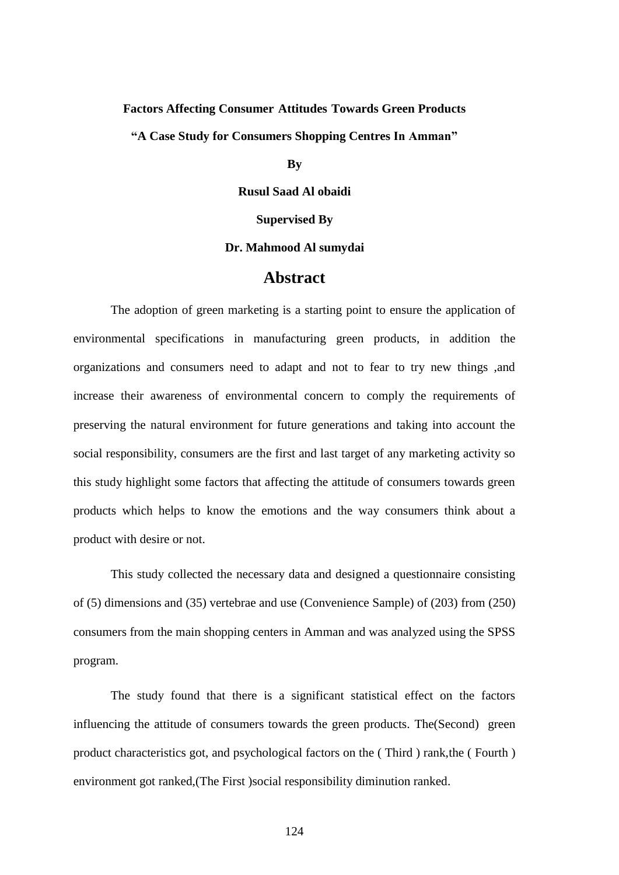# **Factors Affecting Consumer Attitudes Towards Green Products**

**"A Case Study for Consumers Shopping Centres In Amman"**

### **By**

**Rusul Saad Al obaidi**

#### **Supervised By**

#### **Dr. Mahmood Al sumydai**

## **Abstract**

The adoption of green marketing is a starting point to ensure the application of environmental specifications in manufacturing green products, in addition the organizations and consumers need to adapt and not to fear to try new things ,and increase their awareness of environmental concern to comply the requirements of preserving the natural environment for future generations and taking into account the social responsibility, consumers are the first and last target of any marketing activity so this study highlight some factors that affecting the attitude of consumers towards green products which helps to know the emotions and the way consumers think about a product with desire or not.

This study collected the necessary data and designed a questionnaire consisting of (5) dimensions and (35) vertebrae and use (Convenience Sample) of (203) from (250) consumers from the main shopping centers in Amman and was analyzed using the SPSS program.

The study found that there is a significant statistical effect on the factors influencing the attitude of consumers towards the green products. The(Second) green product characteristics got, and psychological factors on the ( Third ) rank,the ( Fourth ) environment got ranked,(The First )social responsibility diminution ranked.